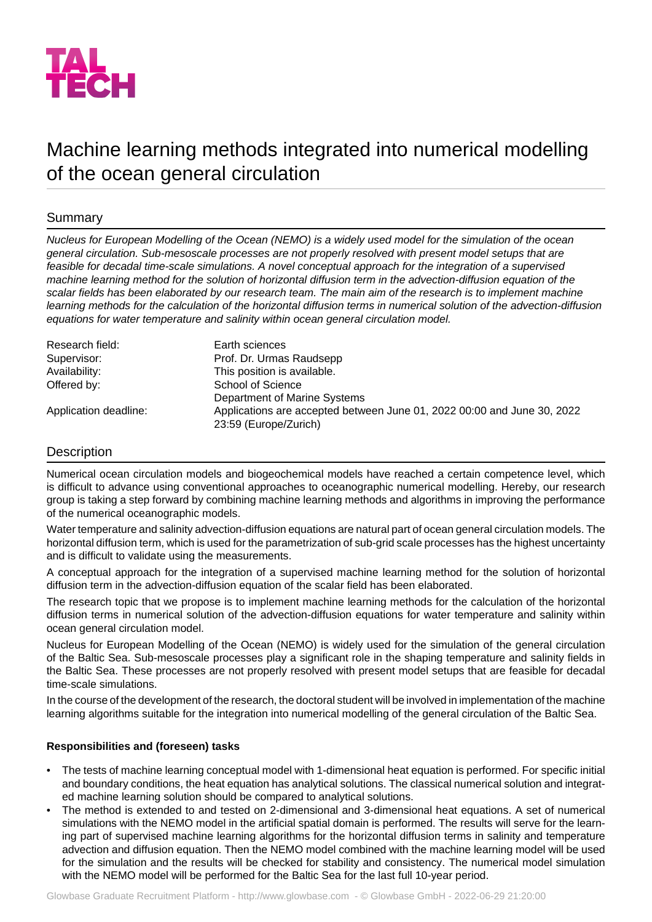

# Machine learning methods integrated into numerical modelling of the ocean general circulation

# Summary

*Nucleus for European Modelling of the Ocean (NEMO) is a widely used model for the simulation of the ocean general circulation. Sub-mesoscale processes are not properly resolved with present model setups that are feasible for decadal time-scale simulations. A novel conceptual approach for the integration of a supervised machine learning method for the solution of horizontal diffusion term in the advection-diffusion equation of the scalar fields has been elaborated by our research team. The main aim of the research is to implement machine learning methods for the calculation of the horizontal diffusion terms in numerical solution of the advection-diffusion equations for water temperature and salinity within ocean general circulation model.*

| Research field:       | Earth sciences                                                          |
|-----------------------|-------------------------------------------------------------------------|
| Supervisor:           | Prof. Dr. Urmas Raudsepp                                                |
| Availability:         | This position is available.                                             |
| Offered by:           | School of Science                                                       |
|                       | Department of Marine Systems                                            |
| Application deadline: | Applications are accepted between June 01, 2022 00:00 and June 30, 2022 |
|                       | 23:59 (Europe/Zurich)                                                   |

# **Description**

Numerical ocean circulation models and biogeochemical models have reached a certain competence level, which is difficult to advance using conventional approaches to oceanographic numerical modelling. Hereby, our research group is taking a step forward by combining machine learning methods and algorithms in improving the performance of the numerical oceanographic models.

Water temperature and salinity advection-diffusion equations are natural part of ocean general circulation models. The horizontal diffusion term, which is used for the parametrization of sub-grid scale processes has the highest uncertainty and is difficult to validate using the measurements.

A conceptual approach for the integration of a supervised machine learning method for the solution of horizontal diffusion term in the advection-diffusion equation of the scalar field has been elaborated.

The research topic that we propose is to implement machine learning methods for the calculation of the horizontal diffusion terms in numerical solution of the advection-diffusion equations for water temperature and salinity within ocean general circulation model.

Nucleus for European Modelling of the Ocean (NEMO) is widely used for the simulation of the general circulation of the Baltic Sea. Sub-mesoscale processes play a significant role in the shaping temperature and salinity fields in the Baltic Sea. These processes are not properly resolved with present model setups that are feasible for decadal time-scale simulations.

In the course of the development of the research, the doctoral student will be involved in implementation of the machine learning algorithms suitable for the integration into numerical modelling of the general circulation of the Baltic Sea.

### **Responsibilities and (foreseen) tasks**

- The tests of machine learning conceptual model with 1-dimensional heat equation is performed. For specific initial and boundary conditions, the heat equation has analytical solutions. The classical numerical solution and integrated machine learning solution should be compared to analytical solutions.
- The method is extended to and tested on 2-dimensional and 3-dimensional heat equations. A set of numerical simulations with the NEMO model in the artificial spatial domain is performed. The results will serve for the learning part of supervised machine learning algorithms for the horizontal diffusion terms in salinity and temperature advection and diffusion equation. Then the NEMO model combined with the machine learning model will be used for the simulation and the results will be checked for stability and consistency. The numerical model simulation with the NEMO model will be performed for the Baltic Sea for the last full 10-year period.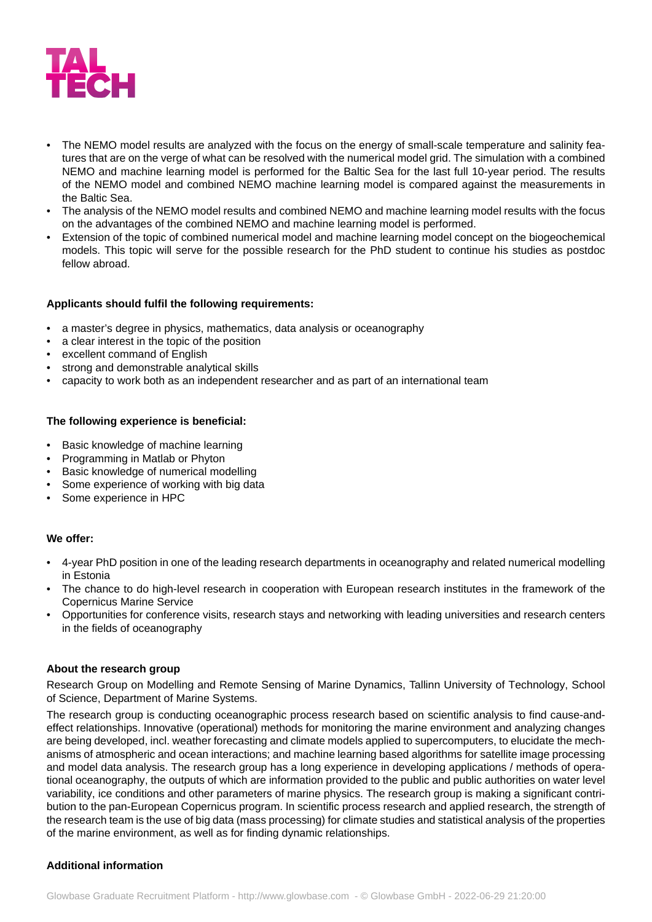

- The NEMO model results are analyzed with the focus on the energy of small-scale temperature and salinity features that are on the verge of what can be resolved with the numerical model grid. The simulation with a combined NEMO and machine learning model is performed for the Baltic Sea for the last full 10-year period. The results of the NEMO model and combined NEMO machine learning model is compared against the measurements in the Baltic Sea.
- The analysis of the NEMO model results and combined NEMO and machine learning model results with the focus on the advantages of the combined NEMO and machine learning model is performed.
- Extension of the topic of combined numerical model and machine learning model concept on the biogeochemical models. This topic will serve for the possible research for the PhD student to continue his studies as postdoc fellow abroad.

## **Applicants should fulfil the following requirements:**

- a master's degree in physics, mathematics, data analysis or oceanography
- a clear interest in the topic of the position
- excellent command of English
- strong and demonstrable analytical skills
- capacity to work both as an independent researcher and as part of an international team

## **The following experience is beneficial:**

- Basic knowledge of machine learning
- Programming in Matlab or Phyton
- Basic knowledge of numerical modelling
- Some experience of working with big data
- Some experience in HPC

### **We offer:**

- 4-year PhD position in one of the leading research departments in oceanography and related numerical modelling in Estonia
- The chance to do high-level research in cooperation with European research institutes in the framework of the Copernicus Marine Service
- Opportunities for conference visits, research stays and networking with leading universities and research centers in the fields of oceanography

### **About the research group**

Research Group on Modelling and Remote Sensing of Marine Dynamics, Tallinn University of Technology, School of Science, Department of Marine Systems.

The research group is conducting oceanographic process research based on scientific analysis to find cause-andeffect relationships. Innovative (operational) methods for monitoring the marine environment and analyzing changes are being developed, incl. weather forecasting and climate models applied to supercomputers, to elucidate the mechanisms of atmospheric and ocean interactions; and machine learning based algorithms for satellite image processing and model data analysis. The research group has a long experience in developing applications / methods of operational oceanography, the outputs of which are information provided to the public and public authorities on water level variability, ice conditions and other parameters of marine physics. The research group is making a significant contribution to the pan-European Copernicus program. In scientific process research and applied research, the strength of the research team is the use of big data (mass processing) for climate studies and statistical analysis of the properties of the marine environment, as well as for finding dynamic relationships.

## **Additional information**